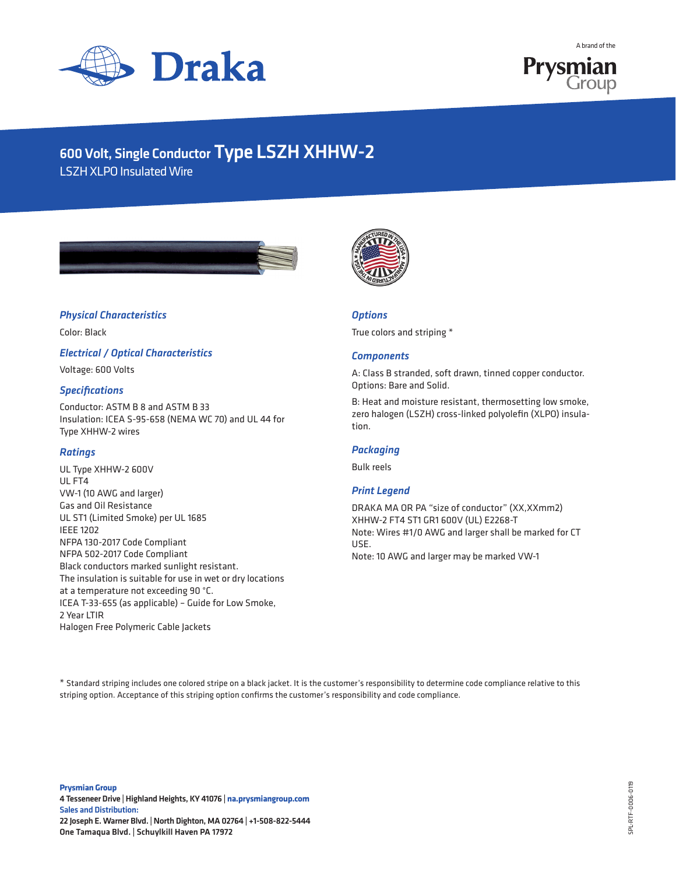



# 600 Volt, Single Conductor Type LSZH XHHW-2

LSZH XLPO Insulated Wire





#### *Physical Characteristics*

Color: Black

*Electrical / Optical Characteristics*

Voltage: 600 Volts

#### *Specifications*

Conductor: ASTM B 8 and ASTM B 33 Insulation: ICEA S-95-658 (NEMA WC 70) and UL 44 for Type XHHW-2 wires

#### *Ratings*

UL Type XHHW-2 600V UL FT4 VW-1 (10 AWG and larger) Gas and Oil Resistance UL ST1 (Limited Smoke) per UL 1685 IEEE 1202 NFPA 130-2017 Code Compliant NFPA 502-2017 Code Compliant Black conductors marked sunlight resistant. The insulation is suitable for use in wet or dry locations at a temperature not exceeding 90 °C. ICEA T-33-655 (as applicable) – Guide for Low Smoke, 2 Year LTIR Halogen Free Polymeric Cable Jackets

## *Options*

True colors and striping \*

#### *Components*

A: Class B stranded, soft drawn, tinned copper conductor. Options: Bare and Solid.

B: Heat and moisture resistant, thermosetting low smoke, zero halogen (LSZH) cross-linked polyolefin (XLPO) insulation.

#### *Packaging*

Bulk reels

#### *Print Legend*

DRAKA MA OR PA "size of conductor" (XX,XXmm2) XHHW-2 FT4 ST1 GR1 600V (UL) E2268-T Note: Wires #1/0 AWG and larger shall be marked for CT USE. Note: 10 AWG and larger may be marked VW-1

\* Standard striping includes one colored stripe on a black jacket. It is the customer's responsibility to determine code compliance relative to this striping option. Acceptance of this striping option confirms the customer's responsibility and code compliance.